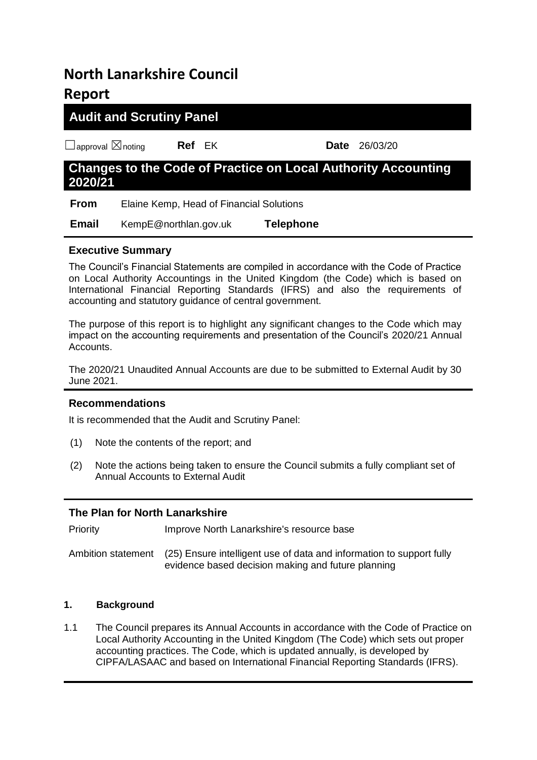# **North Lanarkshire Council Report**

# **Audit and Scrutiny Panel**

☐approval ☒noting **Ref** EK **Date** 26/03/20

# **Changes to the Code of Practice on Local Authority Accounting 2020/21**

 **From** Elaine Kemp, Head of Financial Solutions

 **Email** KempE@northlan.gov.uk **Telephone** 

# **Executive Summary**

The Council's Financial Statements are compiled in accordance with the Code of Practice on Local Authority Accountings in the United Kingdom (the Code) which is based on International Financial Reporting Standards (IFRS) and also the requirements of accounting and statutory guidance of central government.

The purpose of this report is to highlight any significant changes to the Code which may impact on the accounting requirements and presentation of the Council's 2020/21 Annual Accounts.

The 2020/21 Unaudited Annual Accounts are due to be submitted to External Audit by 30 June 2021.

# **Recommendations**

It is recommended that the Audit and Scrutiny Panel:

- (1) Note the contents of the report; and
- (2) Note the actions being taken to ensure the Council submits a fully compliant set of Annual Accounts to External Audit

# **The Plan for North Lanarkshire**

Priority Improve North Lanarkshire's resource base

Ambition statement (25) Ensure intelligent use of data and information to support fully evidence based decision making and future planning

# **1. Background**

1.1 The Council prepares its Annual Accounts in accordance with the Code of Practice on Local Authority Accounting in the United Kingdom (The Code) which sets out proper accounting practices. The Code, which is updated annually, is developed by CIPFA/LASAAC and based on International Financial Reporting Standards (IFRS).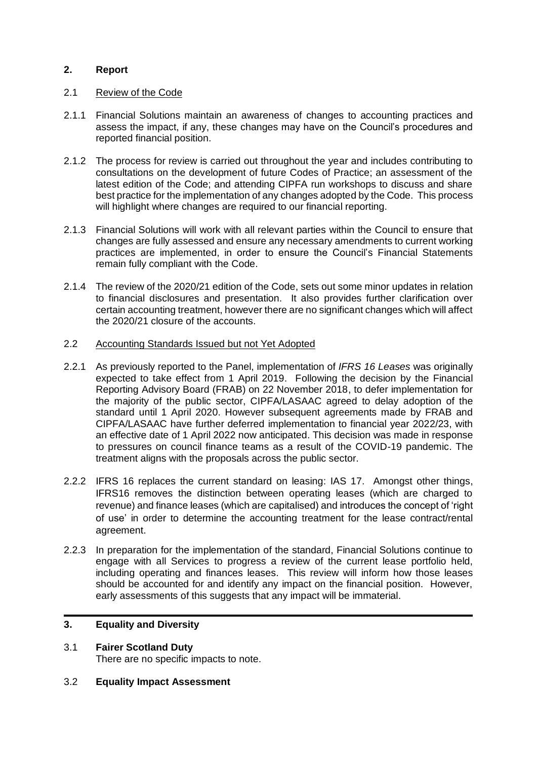### **2. Report**

#### 2.1 Review of the Code

- 2.1.1 Financial Solutions maintain an awareness of changes to accounting practices and assess the impact, if any, these changes may have on the Council's procedures and reported financial position.
- 2.1.2 The process for review is carried out throughout the year and includes contributing to consultations on the development of future Codes of Practice; an assessment of the latest edition of the Code; and attending CIPFA run workshops to discuss and share best practice for the implementation of any changes adopted by the Code. This process will highlight where changes are required to our financial reporting.
- 2.1.3 Financial Solutions will work with all relevant parties within the Council to ensure that changes are fully assessed and ensure any necessary amendments to current working practices are implemented, in order to ensure the Council's Financial Statements remain fully compliant with the Code.
- 2.1.4 The review of the 2020/21 edition of the Code, sets out some minor updates in relation to financial disclosures and presentation. It also provides further clarification over certain accounting treatment, however there are no significant changes which will affect the 2020/21 closure of the accounts.

#### 2.2 Accounting Standards Issued but not Yet Adopted

- 2.2.1 As previously reported to the Panel, implementation of *IFRS 16 Leases* was originally expected to take effect from 1 April 2019. Following the decision by the Financial Reporting Advisory Board (FRAB) on 22 November 2018, to defer implementation for the majority of the public sector, CIPFA/LASAAC agreed to delay adoption of the standard until 1 April 2020. However subsequent agreements made by FRAB and CIPFA/LASAAC have further deferred implementation to financial year 2022/23, with an effective date of 1 April 2022 now anticipated. This decision was made in response to pressures on council finance teams as a result of the COVID-19 pandemic. The treatment aligns with the proposals across the public sector.
- 2.2.2 IFRS 16 replaces the current standard on leasing: IAS 17. Amongst other things, IFRS16 removes the distinction between operating leases (which are charged to revenue) and finance leases (which are capitalised) and introduces the concept of 'right of use' in order to determine the accounting treatment for the lease contract/rental agreement.
- 2.2.3 In preparation for the implementation of the standard, Financial Solutions continue to engage with all Services to progress a review of the current lease portfolio held, including operating and finances leases. This review will inform how those leases should be accounted for and identify any impact on the financial position. However, early assessments of this suggests that any impact will be immaterial.

#### **3. Equality and Diversity**

- 3.1 **Fairer Scotland Duty** There are no specific impacts to note.
- 3.2 **Equality Impact Assessment**